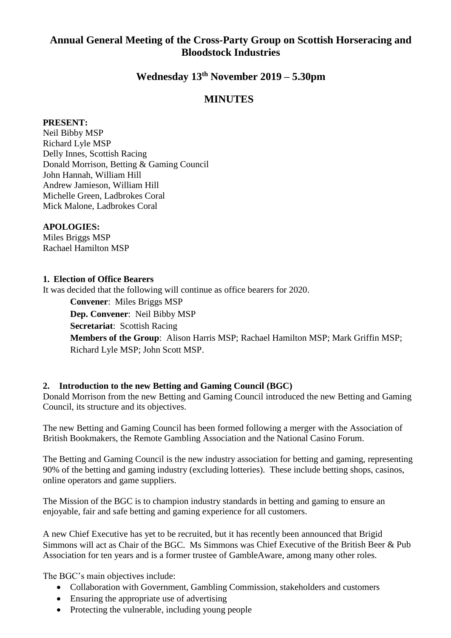# **Annual General Meeting of the Cross-Party Group on Scottish Horseracing and Bloodstock Industries**

# **Wednesday 13 th November 2019 – 5.30pm**

# **MINUTES**

### **PRESENT:**

Neil Bibby MSP Richard Lyle MSP Delly Innes, Scottish Racing Donald Morrison, Betting & Gaming Council John Hannah, William Hill Andrew Jamieson, William Hill Michelle Green, Ladbrokes Coral Mick Malone, Ladbrokes Coral

### **APOLOGIES:**

Miles Briggs MSP Rachael Hamilton MSP

#### **1. Election of Office Bearers**

It was decided that the following will continue as office bearers for 2020.

**Convener**: Miles Briggs MSP **Dep. Convener**: Neil Bibby MSP **Secretariat**: Scottish Racing **Members of the Group**: Alison Harris MSP; Rachael Hamilton MSP; Mark Griffin MSP; Richard Lyle MSP; John Scott MSP.

### **2. Introduction to the new Betting and Gaming Council (BGC)**

Donald Morrison from the new Betting and Gaming Council introduced the new Betting and Gaming Council, its structure and its objectives.

The new Betting and Gaming Council has been formed following a merger with the Association of British Bookmakers, the Remote Gambling Association and the National Casino Forum.

The Betting and Gaming Council is the new industry association for betting and gaming, representing 90% of the betting and gaming industry (excluding lotteries). These include betting shops, casinos, online operators and game suppliers.

The Mission of the BGC is to champion industry standards in betting and gaming to ensure an enjoyable, fair and safe betting and gaming experience for all customers.

A new Chief Executive has yet to be recruited, but it has recently been announced that Brigid Simmons will act as Chair of the BGC. Ms Simmons was Chief Executive of the British Beer & Pub Association for ten years and is a former trustee of GambleAware, among many other roles.

The BGC's main objectives include:

- Collaboration with Government, Gambling Commission, stakeholders and customers
- Ensuring the appropriate use of advertising
- Protecting the vulnerable, including young people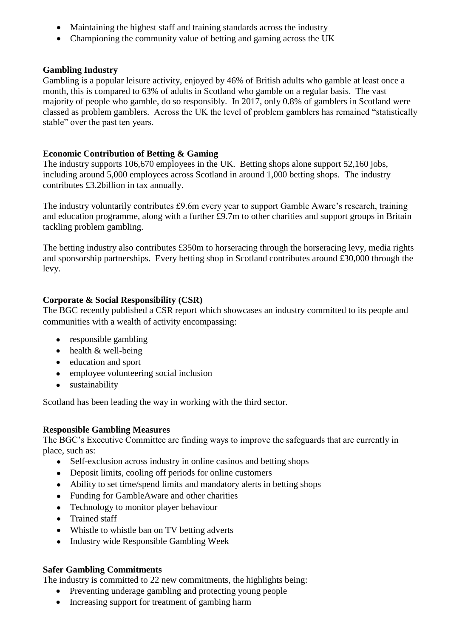- Maintaining the highest staff and training standards across the industry
- Championing the community value of betting and gaming across the UK

# **Gambling Industry**

Gambling is a popular leisure activity, enjoyed by 46% of British adults who gamble at least once a month, this is compared to 63% of adults in Scotland who gamble on a regular basis. The vast majority of people who gamble, do so responsibly. In 2017, only 0.8% of gamblers in Scotland were classed as problem gamblers. Across the UK the level of problem gamblers has remained "statistically stable" over the past ten years.

# **Economic Contribution of Betting & Gaming**

The industry supports 106,670 employees in the UK. Betting shops alone support 52,160 jobs, including around 5,000 employees across Scotland in around 1,000 betting shops. The industry contributes £3.2billion in tax annually.

The industry voluntarily contributes £9.6m every year to support Gamble Aware's research, training and education programme, along with a further £9.7m to other charities and support groups in Britain tackling problem gambling.

The betting industry also contributes £350m to horseracing through the horseracing levy, media rights and sponsorship partnerships. Every betting shop in Scotland contributes around £30,000 through the levy.

# **Corporate & Social Responsibility (CSR)**

The BGC recently published a CSR report which showcases an industry committed to its people and communities with a wealth of activity encompassing:

- responsible gambling
- health & well-being
- education and sport
- employee volunteering social inclusion
- sustainability

Scotland has been leading the way in working with the third sector.

# **Responsible Gambling Measures**

The BGC's Executive Committee are finding ways to improve the safeguards that are currently in place, such as:

- Self-exclusion across industry in online casinos and betting shops
- Deposit limits, cooling off periods for online customers
- Ability to set time/spend limits and mandatory alerts in betting shops
- Funding for GambleAware and other charities
- Technology to monitor player behaviour
- Trained staff
- Whistle to whistle ban on TV betting adverts
- Industry wide Responsible Gambling Week

# **Safer Gambling Commitments**

The industry is committed to 22 new commitments, the highlights being:

- Preventing underage gambling and protecting young people
- Increasing support for treatment of gambing harm